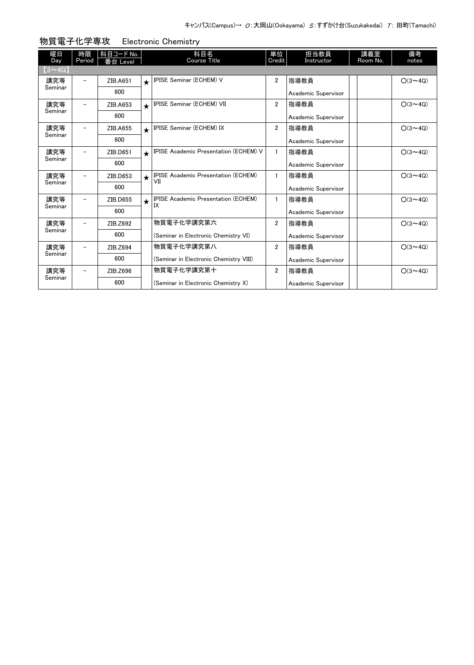| 曜日<br>Day     | 時限<br>Period             | 科目コード No.<br>番台 Level |            | 科目名<br><b>Course Title</b>                        | 単位<br>Credit   | 担当教員<br>Instructor  | 講義室<br>Room No. | 備考<br>notes    |
|---------------|--------------------------|-----------------------|------------|---------------------------------------------------|----------------|---------------------|-----------------|----------------|
| $(3 \sim 4Q)$ |                          |                       |            |                                                   |                |                     |                 |                |
| 講究等           |                          | ZIB.A651              | $\bigstar$ | IPISE Seminar (ECHEM) V                           | $\overline{2}$ | 指導教員                |                 | $O(3 \sim 40)$ |
| Seminar       |                          | 600                   |            |                                                   |                | Academic Supervisor |                 |                |
| 講究等           |                          | ZIB.A653              | $\star$    | IPISE Seminar (ECHEM) VII                         | $\overline{2}$ | 指導教員                |                 | $O(3 \sim 4Q)$ |
| Seminar       |                          | 600                   |            |                                                   |                | Academic Supervisor |                 |                |
| 講究等           | $\overline{\phantom{0}}$ | ZIB.A655              | $\bigstar$ | <b>IPISE Seminar (ECHEM) IX</b>                   | $\overline{2}$ | 指導教員                |                 | $O(3 \sim 4Q)$ |
| Seminar       |                          | 600                   |            |                                                   |                | Academic Supervisor |                 |                |
| 講究等           |                          | ZIB.D651              | $\bigstar$ | <b>IPISE Academic Presentation (ECHEM) V</b>      | $\mathbf{1}$   | 指導教員                |                 | $O(3 \sim 4Q)$ |
| Seminar       |                          | 600                   |            |                                                   |                | Academic Supervisor |                 |                |
| 講究等           |                          | ZIB.D653              | $\star$    | <b>IPISE Academic Presentation (ECHEM)</b><br>VII | $\mathbf{1}$   | 指導教員                |                 | $O(3 \sim 40)$ |
| Seminar       |                          | 600                   |            |                                                   |                | Academic Supervisor |                 |                |
| 講究等           | $\overline{\phantom{0}}$ | ZIB.D655              | $\star$    | <b>IPISE Academic Presentation (ECHEM)</b><br>IX  | $\mathbf{1}$   | 指導教員                |                 | $O(3 \sim 4Q)$ |
| Seminar       |                          | 600                   |            |                                                   |                | Academic Supervisor |                 |                |
| 講究等           |                          | ZIB.Z692              |            | 物質電子化学講究第六                                        | $\overline{2}$ | 指導教員                |                 | $O(3 \sim 4Q)$ |
| Seminar       |                          | 600                   |            | (Seminar in Electronic Chemistry VI)              |                | Academic Supervisor |                 |                |
| 講究等           |                          | ZIB.Z694              |            | 物質電子化学講究第八                                        | $\overline{2}$ | 指導教員                |                 | $O(3 \sim 4Q)$ |
| Seminar       |                          | 600                   |            | (Seminar in Electronic Chemistry VIII)            |                | Academic Supervisor |                 |                |
| 講究等           | $\overline{\phantom{0}}$ | ZIB.Z696              |            | 物質電子化学講究第十                                        | $\overline{2}$ | 指導教員                |                 | $O(3 \sim 4Q)$ |
| Seminar       |                          | 600                   |            | (Seminar in Electronic Chemistry X)               |                | Academic Supervisor |                 |                |

物質電子化学専攻 Electronic Chemistry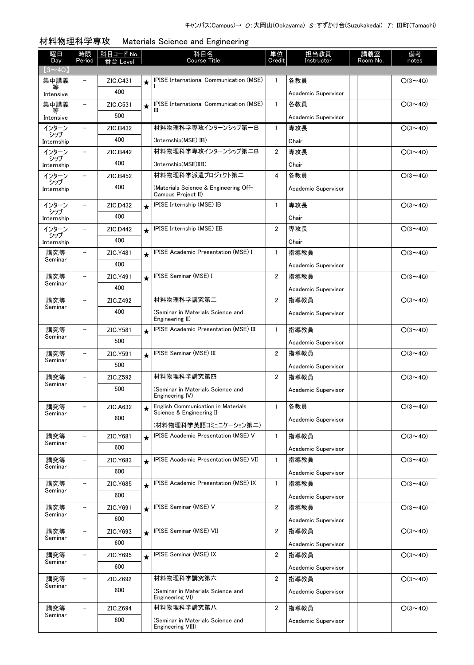| 曜日<br>Day         | 時限<br>Period             | 科目コード No.<br>台 Level |         | 科目名<br><b>Course Title</b>                                          | 単位<br>Credit   | 担当教員<br>Instructor  | 講義室<br>Room No. | 備考<br>notes    |
|-------------------|--------------------------|----------------------|---------|---------------------------------------------------------------------|----------------|---------------------|-----------------|----------------|
| $(3 \sim 4Q)$     |                          |                      |         |                                                                     |                |                     |                 |                |
| 集中講義              | $\overline{\phantom{0}}$ | ZIC.C431             | $\star$ | <b>IPISE International Communication (MSE)</b>                      | $\mathbf{1}$   | 各教員                 |                 | $O(3 \sim 4Q)$ |
| 等<br>Intensive    |                          | 400                  |         |                                                                     |                | Academic Supervisor |                 |                |
| 集中講義              | $\overline{\phantom{0}}$ | ZIC.C531             | $\star$ | <b>IPISE International Communication (MSE)</b>                      | $\mathbf{1}$   | 各教員                 |                 | $O(3 \sim 4Q)$ |
| 等<br>Intensive    |                          | 500                  |         | Ш                                                                   |                | Academic Supervisor |                 |                |
| インターン             |                          | ZIC.B432             |         | 材料物理科学専攻インターンシップ第一B                                                 | $\mathbf{1}$   | 専攻長                 |                 | $O(3 \sim 4Q)$ |
| シップ<br>Internship |                          | 400                  |         | (Internship(MSE) IB)                                                |                | Chair               |                 |                |
| インターン             |                          | ZIC.B442             |         | 材料物理科学専攻インターンシップ第二B                                                 | $\overline{2}$ | 専攻長                 |                 | $O(3 \sim 4Q)$ |
| シップ<br>Internship |                          | 400                  |         | (Internship(MSE)IIB)                                                |                | Chair               |                 |                |
| インターン             |                          | ZIC.B452             |         | 材料物理科学派遣プロジェクト第二                                                    | 4              | 各教員                 |                 | $O(3 \sim 4Q)$ |
| シップ<br>Internship |                          | 400                  |         | (Materials Science & Engineering Off-<br>Campus Project II)         |                | Academic Supervisor |                 |                |
| インターン             |                          | ZIC.D432             | $\star$ | IPISE Internship (MSE) IB                                           | $\mathbf{1}$   | 専攻長                 |                 | $O(3 \sim 40)$ |
| シップ<br>Internship |                          | 400                  |         |                                                                     |                | Chair               |                 |                |
| インターン             |                          | ZIC.D442             | $\star$ | IPISE Internship (MSE) IIB                                          | 2              | 専攻長                 |                 | $O(3 \sim 4Q)$ |
| シップ<br>Internship |                          | 400                  |         |                                                                     |                | Chair               |                 |                |
| 講究等               |                          | ZIC.Y481             | $\star$ | <b>IPISE Academic Presentation (MSE) I</b>                          | $\mathbf{1}$   | 指導教員                |                 | $O(3 \sim 4Q)$ |
| Seminar           |                          | 400                  |         |                                                                     |                | Academic Supervisor |                 |                |
| 講究等               |                          | ZIC.Y491             | $\star$ | IPISE Seminar (MSE) I                                               | 2              | 指導教員                |                 | $O(3 \sim 40)$ |
| Seminar           |                          | 400                  |         |                                                                     |                | Academic Supervisor |                 |                |
| 講究等               |                          | ZIC.Z492             |         | 材料物理科学講究第二                                                          | $\overline{2}$ | 指導教員                |                 | $O(3 \sim 4Q)$ |
| Seminar           |                          | 400                  |         | (Seminar in Materials Science and<br>Engineering II)                |                | Academic Supervisor |                 |                |
| 講究等               | -                        | ZIC.Y581             | $\star$ | IPISE Academic Presentation (MSE) III                               | $\mathbf{1}$   | 指導教員                |                 | $O(3 \sim 4Q)$ |
| Seminar           |                          | 500                  |         |                                                                     |                | Academic Supervisor |                 |                |
| 講究等               |                          | ZIC.Y591             | $\star$ | IPISE Seminar (MSE) III                                             | 2              | 指導教員                |                 | $O(3 \sim 4Q)$ |
| Seminar           |                          | 500                  |         |                                                                     |                | Academic Supervisor |                 |                |
| 講究等               | -                        | ZIC.Z592             |         | 材料物理科学講究第四                                                          | $\overline{2}$ | 指導教員                |                 | $O(3 \sim 4Q)$ |
| Seminar           |                          | 500                  |         | (Seminar in Materials Science and<br>Engineering IV)                |                | Academic Supervisor |                 |                |
| 講究等               |                          | ZIC.A632             |         | <b>English Communication in Materials</b>                           | $\mathbf{1}$   | 各教員                 |                 | $O(3 \sim 4Q)$ |
| Seminar           |                          | 600                  |         | Science & Engineering II                                            |                | Academic Supervisor |                 |                |
|                   |                          |                      |         | (材料物理科学英語コミュニケーション第二)<br><b>IPISE Academic Presentation (MSE) V</b> | 1              |                     |                 | $O(3 \sim 4Q)$ |
| 講究等<br>Seminar    |                          | ZIC.Y681             | $\star$ |                                                                     |                | 指導教員                |                 |                |
|                   |                          | 600<br>ZIC.Y683      |         | IPISE Academic Presentation (MSE) VII                               | 1              | Academic Supervisor |                 |                |
| 講究等<br>Seminar    |                          |                      | $\star$ |                                                                     |                | 指導教員                |                 | $O(3 \sim 4Q)$ |
|                   |                          | 600                  |         | <b>IPISE Academic Presentation (MSE) IX</b>                         | $\mathbf{1}$   | Academic Supervisor |                 | $O(3 \sim 4Q)$ |
| 講究等<br>Seminar    |                          | ZIC.Y685<br>600      | $\star$ |                                                                     |                | 指導教員                |                 |                |
|                   |                          |                      |         |                                                                     |                | Academic Supervisor |                 |                |
| 講究等<br>Seminar    |                          | ZIC.Y691<br>600      | $\star$ | <b>IPISE Seminar (MSE) V</b>                                        | 2              | 指導教員                |                 | $O(3 \sim 4Q)$ |
|                   |                          |                      |         | IPISE Seminar (MSE) VII                                             |                | Academic Supervisor |                 |                |
| 講究等<br>Seminar    |                          | ZIC.Y693             | $\star$ |                                                                     | $\overline{2}$ | 指導教員                |                 | $O(3 \sim 4Q)$ |
|                   |                          | 600                  |         |                                                                     |                | Academic Supervisor |                 |                |
| 講究等<br>Seminar    |                          | ZIC.Y695             | $\star$ | IPISE Seminar (MSE) IX                                              | $\overline{2}$ | 指導教員                |                 | $O(3 \sim 4Q)$ |
|                   |                          | 600                  |         |                                                                     |                | Academic Supervisor |                 |                |
| 講究等<br>Seminar    |                          | ZIC.Z692             |         | 材料物理科学講究第六                                                          | 2              | 指導教員                |                 | $O(3 \sim 4Q)$ |
|                   |                          | 600                  |         | (Seminar in Materials Science and<br>Engineering VI)                |                | Academic Supervisor |                 |                |
| 講究等               |                          | ZIC.Z694             |         | 材料物理科学講究第八                                                          | $\overline{2}$ | 指導教員                |                 | $O(3 \sim 4Q)$ |
| Seminar           |                          | 600                  |         | (Seminar in Materials Science and<br>Engineering VIII)              |                | Academic Supervisor |                 |                |

### 材料物理科学専攻 Materials Science and Engineering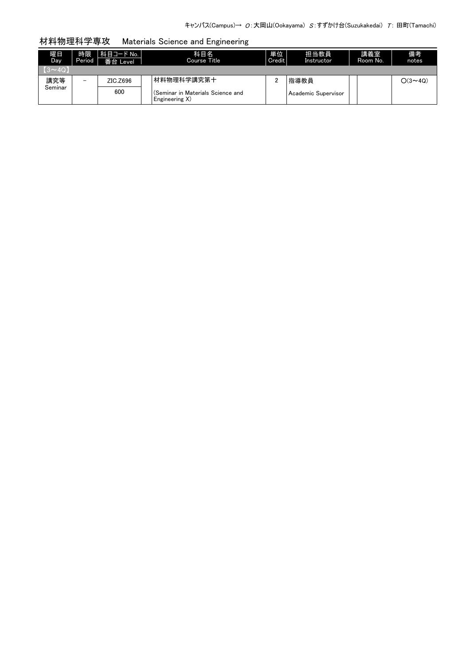### 材料物理科学専攻 Materials Science and Engineering

| 曜日<br>Day     | 時限<br>Period             | 科目コード No.  <br>番台 Level | 科目名<br>Course Title                                 | 単位<br>Credit | 担当教員<br>Instructor    | 講義室<br>Room No. | 備考<br>notes    |
|---------------|--------------------------|-------------------------|-----------------------------------------------------|--------------|-----------------------|-----------------|----------------|
| $(3 \sim 40)$ |                          |                         |                                                     |              |                       |                 |                |
| 講究等           | $\overline{\phantom{0}}$ | ZIC.Z696                | 材料物理科学講究第十                                          |              | 指導教員                  |                 | $O(3 \sim 4Q)$ |
| Seminar       |                          | 600                     | (Seminar in Materials Science and<br>Engineering X) |              | l Academic Supervisor |                 |                |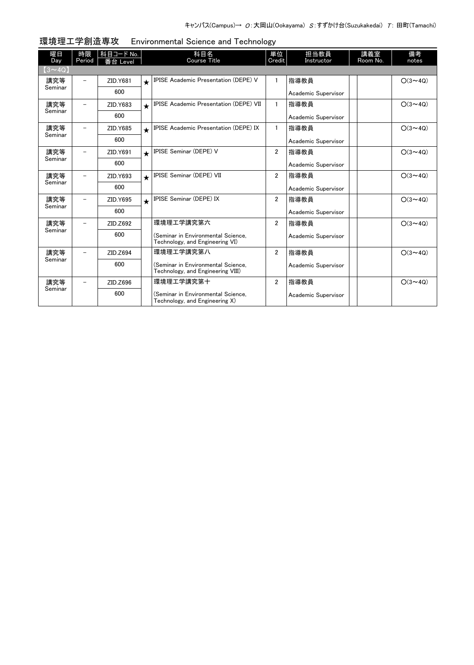| 曜日<br>Day      | 時限<br>Period             | 科目コード No.<br>番台 Level |            | 科目名<br><b>Course Title</b>                                              | 単位<br>Credit   | 担当教員<br>Instructor  | 講義室<br>Room No. | 備考<br>notes    |
|----------------|--------------------------|-----------------------|------------|-------------------------------------------------------------------------|----------------|---------------------|-----------------|----------------|
| $(3 \sim 4Q)$  |                          |                       |            |                                                                         |                |                     |                 |                |
| 講究等            |                          | ZID.Y681              | $\bigstar$ | IPISE Academic Presentation (DEPE) V                                    |                | 指導教員                |                 | $O(3 \sim 40)$ |
| Seminar        |                          | 600                   |            |                                                                         |                | Academic Supervisor |                 |                |
| 講究等<br>Seminar |                          | ZID.Y683              | $\star$    | <b>IPISE Academic Presentation (DEPE) VII</b>                           | $\mathbf{1}$   | 指導教員                |                 | $O(3 \sim 4Q)$ |
|                |                          | 600                   |            |                                                                         |                | Academic Supervisor |                 |                |
| 講究等<br>Seminar | -                        | ZID.Y685              | $\star$    | <b>IPISE Academic Presentation (DEPE) IX</b>                            | $\mathbf{1}$   | 指導教員                |                 | $O(3 \sim 40)$ |
|                |                          | 600                   |            |                                                                         |                | Academic Supervisor |                 |                |
| 講究等<br>Seminar |                          | ZID.Y691              | $\star$    | <b>IPISE Seminar (DEPE) V</b>                                           | $\overline{2}$ | 指導教員                |                 | $O(3 \sim 4Q)$ |
|                |                          | 600                   |            |                                                                         |                | Academic Supervisor |                 |                |
| 講究等<br>Seminar |                          | ZID.Y693              | $\star$    | IPISE Seminar (DEPE) VII                                                | $\overline{2}$ | 指導教員                |                 | $O(3 \sim 4Q)$ |
|                |                          | 600                   |            |                                                                         |                | Academic Supervisor |                 |                |
| 講究等<br>Seminar |                          | ZID.Y695              | $\bigstar$ | <b>IPISE Seminar (DEPE) IX</b>                                          | $\overline{2}$ | 指導教員                |                 | $O(3 \sim 4Q)$ |
|                |                          | 600                   |            |                                                                         |                | Academic Supervisor |                 |                |
| 講究等<br>Seminar |                          | ZID.Z692              |            | 環境理工学講究第六                                                               | $\overline{2}$ | 指導教員                |                 | $O(3 \sim 4Q)$ |
|                |                          | 600                   |            | (Seminar in Environmental Science.<br>Technology, and Engineering VI)   |                | Academic Supervisor |                 |                |
| 講究等<br>Seminar | $\overline{\phantom{0}}$ | ZID.Z694              |            | 環境理工学講究第八                                                               | $\overline{2}$ | 指導教員                |                 | $O(3 \sim 4Q)$ |
|                |                          | 600                   |            | (Seminar in Environmental Science,<br>Technology, and Engineering VIII) |                | Academic Supervisor |                 |                |
| 講究等<br>Seminar |                          | ZID.Z696              |            | 環境理工学講究第十                                                               | $\overline{2}$ | 指導教員                |                 | $O(3 \sim 4Q)$ |
|                |                          | 600                   |            | (Seminar in Environmental Science.<br>Technology, and Engineering X)    |                | Academic Supervisor |                 |                |

環境理工学創造専攻 Environmental Science and Technology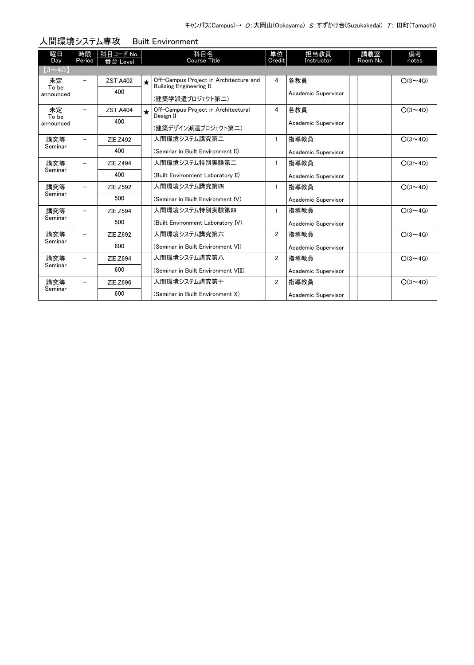| 曜日<br>Day          | 時限<br>Period             | 科目コード No.<br>番台 Level |           | 科目名<br>Course Title                                                      | 単位<br>Credit   | 担当教員<br>Instructor  | 講義室<br>Room No. | 備考<br>notes    |
|--------------------|--------------------------|-----------------------|-----------|--------------------------------------------------------------------------|----------------|---------------------|-----------------|----------------|
| $(3 \sim 4Q)$      |                          |                       |           |                                                                          |                |                     |                 |                |
| 未定                 | $\overline{\phantom{0}}$ | <b>ZST.A402</b>       | $\bullet$ | Off-Campus Project in Architecture and<br><b>Building Engineering II</b> | 4              | 各教員                 |                 | $O(3 \sim 4Q)$ |
| To be<br>announced |                          | 400                   |           | (建築学派遣プロジェクト第二)                                                          |                | Academic Supervisor |                 |                |
| 未定                 | -                        | <b>ZST.A404</b>       | $\star$   | Off-Campus Project in Architectural<br>Design II                         | 4              | 各教員                 |                 | $O(3 \sim 40)$ |
| To be<br>announced |                          | 400                   |           | (建築デザイン派遣プロジェクト第二)                                                       |                | Academic Supervisor |                 |                |
| 講究等                |                          | ZIE.Z492              |           | 人間環境システム講究第二                                                             | 1              | 指導教員                |                 | $O(3 \sim 4Q)$ |
| Seminar            |                          | 400                   |           | (Seminar in Built Environment II)                                        |                | Academic Supervisor |                 |                |
| 講究等                |                          | ZIE.Z494              |           | 人間環境システム特別実験第二                                                           | 1              | 指導教員                |                 | $O(3 \sim 4Q)$ |
| Seminar            |                          | 400                   |           | (Built Environment Laboratory II)                                        |                | Academic Supervisor |                 |                |
| 講究等                |                          | ZIE.Z592              |           | 人間環境システム講究第四                                                             | 1              | 指導教員                |                 | $O(3 \sim 4Q)$ |
| Seminar            |                          | 500                   |           | (Seminar in Built Environment IV)                                        |                | Academic Supervisor |                 |                |
| 講究等                | -                        | ZIE.Z594              |           | 人間環境システム特別実験第四                                                           | 1              | 指導教員                |                 | $O(3 \sim 4Q)$ |
| Seminar            |                          | 500                   |           | (Built Environment Laboratory IV)                                        |                | Academic Supervisor |                 |                |
| 講究等                | -                        | ZIE.Z692              |           | 人間環境システム講究第六                                                             | $\overline{2}$ | 指導教員                |                 | $O(3 \sim 4Q)$ |
| Seminar            |                          | 600                   |           | (Seminar in Built Environment VI)                                        |                | Academic Supervisor |                 |                |
| 講究等                | -                        | ZIE.Z694              |           | 人間環境システム講究第八                                                             | $\overline{2}$ | 指導教員                |                 | $O(3 \sim 40)$ |
| Seminar            |                          | 600                   |           | (Seminar in Built Environment VIII)                                      |                | Academic Supervisor |                 |                |
| 講究等                |                          | ZIE.Z696              |           | 人間環境システム講究第十                                                             | $\overline{2}$ | 指導教員                |                 | $O(3 \sim 4Q)$ |
| Seminar            |                          | 600                   |           | (Seminar in Built Environment X)                                         |                | Academic Supervisor |                 |                |

#### 人間環境システム専攻 Built Environment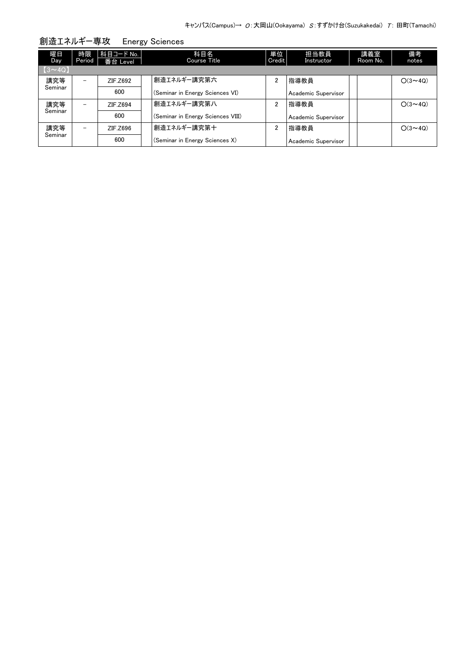| 曜日<br>Day     | 時限<br>Period | 科目コード No.  <br>番台 Level | 科目名<br>Course Title               | 単位<br>Credit | 担当教員<br>Instructor  | 講義室<br>Room No. | 備考<br>notes    |
|---------------|--------------|-------------------------|-----------------------------------|--------------|---------------------|-----------------|----------------|
| $(3 \sim 4Q)$ |              |                         |                                   |              |                     |                 |                |
| 講究等           | -            | ZIF.Z692                | 創造エネルギー講究第六                       | 2            | 指導教員                |                 | $O(3 \sim 4Q)$ |
| Seminar       |              | 600                     | (Seminar in Energy Sciences VI)   |              | Academic Supervisor |                 |                |
| 講究等           |              | ZIF.Z694                | 創造エネルギー講究第八                       | 2            | 指導教員                |                 | $O(3 \sim 40)$ |
| Seminar       |              | 600                     | (Seminar in Energy Sciences VIII) |              | Academic Supervisor |                 |                |
| 講究等           |              | ZIF.Z696                | 創造エネルギー講究第十                       | 2            | 指導教員                |                 | $O(3 \sim 4Q)$ |
| Seminar       |              | 600                     | (Seminar in Energy Sciences X)    |              | Academic Supervisor |                 |                |

創造エネルギー専攻 Energy Sciences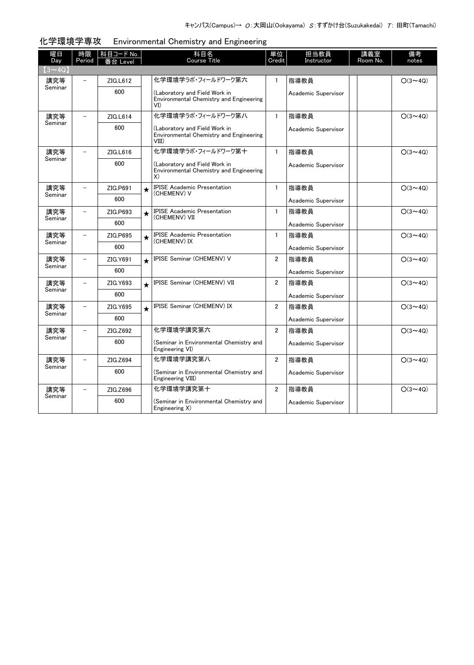| 曜日            | 時限                       | 科目コード No. |         | 科目名                                                                               | 単位             | 担当教員                | 講義室      | 備考             |
|---------------|--------------------------|-----------|---------|-----------------------------------------------------------------------------------|----------------|---------------------|----------|----------------|
| Day           | Period                   | i台 Level  |         | <b>Course Title</b>                                                               | Credit         | Instructor          | Room No. | notes          |
| $(3 \sim 4Q)$ |                          |           |         |                                                                                   |                |                     |          |                |
| 講究等           |                          | ZIG.L612  |         | 化学環境学うボ・フィールドワーク第六                                                                | $\mathbf{1}$   | 指導教員                |          | $O(3 \sim 4Q)$ |
| Seminar       |                          | 600       |         | (Laboratory and Field Work in<br>Environmental Chemistry and Engineering<br>VI)   |                | Academic Supervisor |          |                |
| 講究等           | $\overline{\phantom{0}}$ | ZIG.L614  |         | 化学環境学うボ・フィールドワーク第八                                                                | $\mathbf{1}$   | 指導教員                |          | $O(3 \sim 4Q)$ |
| Seminar       |                          | 600       |         | (Laboratory and Field Work in<br>Environmental Chemistry and Engineering<br>VIII) |                | Academic Supervisor |          |                |
| 講究等           | $\overline{\phantom{0}}$ | ZIG.L616  |         | 化学環境学うボ・フィールドワーク第十                                                                | $\mathbf{1}$   | 指導教員                |          | $O(3 \sim 4Q)$ |
| Seminar       |                          | 600       |         | (Laboratory and Field Work in<br>Environmental Chemistry and Engineering<br>X)    |                | Academic Supervisor |          |                |
| 講究等           |                          | ZIG.P691  | $\star$ | <b>IPISE Academic Presentation</b>                                                | $\mathbf{1}$   | 指導教員                |          | $O(3 \sim 4Q)$ |
| Seminar       |                          | 600       |         | (CHEMENV) V                                                                       |                | Academic Supervisor |          |                |
| 講究等           | $\qquad \qquad -$        | ZIG.P693  | $\star$ | <b>IPISE Academic Presentation</b><br>(CHEMENV) VII                               | $\mathbf{1}$   | 指導教員                |          | $O(3 \sim 4Q)$ |
| Seminar       |                          | 600       |         |                                                                                   |                | Academic Supervisor |          |                |
| 講究等           | $\overline{\phantom{0}}$ | ZIG.P695  | $\star$ | <b>IPISE Academic Presentation</b><br>(CHEMENV) IX                                | $\mathbf{1}$   | 指導教員                |          | $O(3 \sim 4Q)$ |
| Seminar       |                          | 600       |         |                                                                                   |                | Academic Supervisor |          |                |
| 講究等           | $\overline{a}$           | ZIG.Y691  | $\star$ | IPISE Seminar (CHEMENV) V                                                         | $\overline{2}$ | 指導教員                |          | $O(3 \sim 4Q)$ |
| Seminar       |                          | 600       |         |                                                                                   |                | Academic Supervisor |          |                |
| 講究等           |                          | ZIG.Y693  | $\star$ | IPISE Seminar (CHEMENV) VII                                                       | $\overline{2}$ | 指導教員                |          | $O(3 \sim 4Q)$ |
| Seminar       |                          | 600       |         |                                                                                   |                | Academic Supervisor |          |                |
| 講究等           |                          | ZIG.Y695  | $\star$ | IPISE Seminar (CHEMENV) IX                                                        | $\overline{2}$ | 指導教員                |          | $O(3 \sim 4Q)$ |
| Seminar       |                          | 600       |         |                                                                                   |                | Academic Supervisor |          |                |
| 講究等           | $\overline{\phantom{0}}$ | ZIG.Z692  |         | 化学環境学講究第六                                                                         | $\overline{2}$ | 指導教員                |          | $O(3 \sim 4Q)$ |
| Seminar       |                          | 600       |         | (Seminar in Environmental Chemistry and<br>Engineering VI)                        |                | Academic Supervisor |          |                |
| 講究等           | $\equiv$                 | ZIG.Z694  |         | 化学環境学講究第八                                                                         | $\overline{2}$ | 指導教員                |          | $O(3 \sim 4Q)$ |
| Seminar       |                          | 600       |         | (Seminar in Environmental Chemistry and<br>Engineering VIII)                      |                | Academic Supervisor |          |                |
| 講究等           | $\qquad \qquad -$        | ZIG.Z696  |         | 化学環境学講究第十                                                                         | $\overline{2}$ | 指導教員                |          | $O(3 \sim 4Q)$ |
| Seminar       |                          | 600       |         | (Seminar in Environmental Chemistry and<br>Engineering X)                         |                | Academic Supervisor |          |                |

#### 化学環境学専攻 Environmental Chemistry and Engineering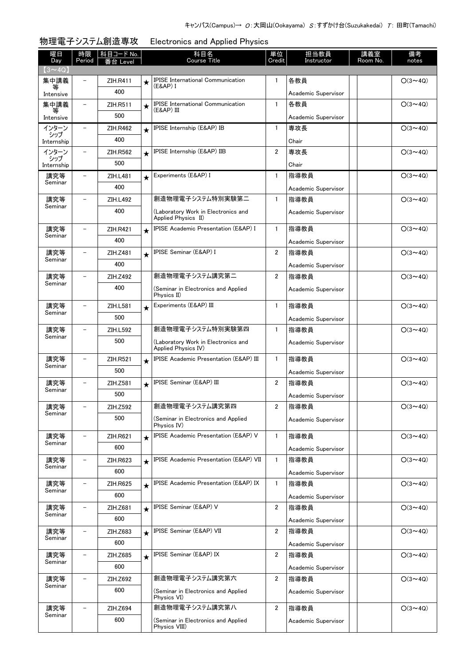| 曜日<br>Day         | 時限<br>Period             | 科目コード No.<br>番台 Level |         | 科目名<br><b>Course Title</b>                                 | 単位<br>Credit   | 担当教員<br>Instructor  | 講義室<br>Room No. | 備考<br>notes    |
|-------------------|--------------------------|-----------------------|---------|------------------------------------------------------------|----------------|---------------------|-----------------|----------------|
| $(3 \sim 4Q)$     |                          |                       |         |                                                            |                |                     |                 |                |
| 集中講義              |                          | <b>ZIH.R411</b>       | ★       | <b>IPISE International Communication</b>                   | 1              | 各教員                 |                 | $O(3 \sim 4Q)$ |
| 等<br>Intensive    |                          | 400                   |         | (E&AP) I                                                   |                | Academic Supervisor |                 |                |
| 集中講義              | -                        | ZIH.R511              | $\star$ | <b>IPISE</b> International Communication                   | $\mathbf{1}$   | 各教員                 |                 | $O(3 \sim 4Q)$ |
| 等<br>Intensive    |                          | 500                   |         | (E&AP) III                                                 |                | Academic Supervisor |                 |                |
| インターン             | $\overline{\phantom{0}}$ | <b>ZIH.R462</b>       | $\star$ | IPISE Internship (E&AP) IB                                 | $\mathbf{1}$   | 専攻長                 |                 | $O(3 \sim 4Q)$ |
| シップ<br>Internship |                          | 400                   |         |                                                            |                | Chair               |                 |                |
| インターン             | $\overline{\phantom{0}}$ | ZIH.R562              | $\star$ | IPISE Internship (E&AP) IIB                                | $\overline{2}$ | 専攻長                 |                 | $O(3 \sim 4Q)$ |
| シップ<br>Internship |                          | 500                   |         |                                                            |                | Chair               |                 |                |
| 講究等               | $\overline{\phantom{0}}$ | ZIH.L481              | $\star$ | Experiments (E&AP) I                                       | $\mathbf{1}$   | 指導教員                |                 | $O(3 \sim 4Q)$ |
| Seminar           |                          | 400                   |         |                                                            |                | Academic Supervisor |                 |                |
| 講究等               | $\overline{\phantom{0}}$ | ZIH.L492              |         | 創造物理電子システム特別実験第二                                           | $\mathbf{1}$   | 指導教員                |                 | $O(3 \sim 4Q)$ |
| Seminar           |                          | 400                   |         | (Laboratory Work in Electronics and                        |                |                     |                 |                |
|                   |                          |                       |         | Applied Physics II)                                        |                | Academic Supervisor |                 |                |
| 講究等               | $\overline{\phantom{0}}$ | <b>ZIH.R421</b>       | $\star$ | IPISE Academic Presentation (E&AP) I                       | $\mathbf{1}$   | 指導教員                |                 | $O(3 \sim 4Q)$ |
| Seminar           |                          | 400                   |         |                                                            |                | Academic Supervisor |                 |                |
| 講究等               | $\overline{\phantom{0}}$ | ZIH.Z481              | $\star$ | IPISE Seminar (E&AP) I                                     | $\mathbf{2}$   | 指導教員                |                 | $O(3 \sim 4Q)$ |
| Seminar           |                          | 400                   |         |                                                            |                | Academic Supervisor |                 |                |
| 講究等               |                          | ZIH.Z492              |         | 創造物理電子システム講究第二                                             | $\mathbf{2}$   | 指導教員                |                 | $O(3 \sim 4Q)$ |
| Seminar           |                          | 400                   |         | (Seminar in Electronics and Applied                        |                | Academic Supervisor |                 |                |
|                   |                          |                       |         | Physics II)                                                |                |                     |                 |                |
| 講究等<br>Seminar    |                          | ZIH.L581              | $\star$ | Experiments (E&AP) III                                     | $\mathbf{1}$   | 指導教員                |                 | $O(3 \sim 4Q)$ |
|                   |                          | 500                   |         |                                                            |                | Academic Supervisor |                 |                |
| 講究等<br>Seminar    |                          | ZIH.L592              |         | 創造物理電子システム特別実験第四                                           | $\mathbf{1}$   | 指導教員                |                 | $O(3 \sim 4Q)$ |
|                   |                          | 500                   |         | (Laboratory Work in Electronics and<br>Applied Physics IV) |                | Academic Supervisor |                 |                |
| 講究等               |                          | <b>ZIH.R521</b>       | $\star$ | <b>IPISE Academic Presentation (E&amp;AP) III</b>          | $\mathbf{1}$   | 指導教員                |                 | $O(3 \sim 4Q)$ |
| Seminar           |                          | 500                   |         |                                                            |                | Academic Supervisor |                 |                |
| 講究等               |                          | ZIH.Z581              | $\star$ | IPISE Seminar (E&AP) III                                   | $\overline{2}$ | 指導教員                |                 | $O(3 \sim 4Q)$ |
| Seminar           |                          | 500                   |         |                                                            |                | Academic Supervisor |                 |                |
| 講究等               |                          | ZIH.Z592              |         | 創造物理電子システム講究第四                                             | 2              | 指導教員                |                 | $O(3 \sim 4Q)$ |
| Seminar           |                          | 500                   |         | (Seminar in Electronics and Applied                        |                | Academic Supervisor |                 |                |
|                   |                          |                       |         | Physics IV)                                                |                |                     |                 |                |
| 講究等<br>Seminar    | $\overline{\phantom{0}}$ | ZIH.R621              | $\star$ | IPISE Academic Presentation (E&AP) V                       | 1              | 指導教員                |                 | $O(3 \sim 4Q)$ |
|                   |                          | 600                   |         |                                                            |                | Academic Supervisor |                 |                |
| 講究等<br>Seminar    | $\overline{\phantom{0}}$ | ZIH.R623              | $\star$ | IPISE Academic Presentation (E&AP) VII                     | 1              | 指導教員                |                 | $O(3 \sim 4Q)$ |
|                   |                          | 600                   |         |                                                            |                | Academic Supervisor |                 |                |
| 講究等               | $\overline{\phantom{0}}$ | ZIH.R625              | $\star$ | IPISE Academic Presentation (E&AP) IX                      | $\mathbf{1}$   | 指導教員                |                 | $O(3 \sim 4Q)$ |
| Seminar           |                          | 600                   |         |                                                            |                | Academic Supervisor |                 |                |
| 講究等               | $\overline{\phantom{0}}$ | ZIH.Z681              | $\star$ | <b>IPISE Seminar (E&amp;AP) V</b>                          | $\overline{2}$ | 指導教員                |                 | $O(3 \sim 4Q)$ |
| Seminar           |                          | 600                   |         |                                                            |                | Academic Supervisor |                 |                |
| 講究等               | $\overline{\phantom{0}}$ | ZIH.Z683              | $\star$ | IPISE Seminar (E&AP) VII                                   | $\overline{2}$ | 指導教員                |                 | $O(3 \sim 4Q)$ |
| Seminar           |                          | 600                   |         |                                                            |                | Academic Supervisor |                 |                |
| 講究等               | $\overline{\phantom{0}}$ | ZIH.Z685              | $\star$ | IPISE Seminar (E&AP) IX                                    | 2              | 指導教員                |                 | $O(3 \sim 4Q)$ |
| Seminar           |                          | 600                   |         |                                                            |                | Academic Supervisor |                 |                |
| 講究等               | $\overline{\phantom{0}}$ | ZIH.Z692              |         | 創造物理電子システム講究第六                                             | $\overline{2}$ | 指導教員                |                 | $O(3 \sim 4Q)$ |
| Seminar           |                          | 600                   |         | (Seminar in Electronics and Applied                        |                | Academic Supervisor |                 |                |
|                   |                          |                       |         | Physics VI)                                                |                |                     |                 |                |
| 講究等               |                          | ZIH.Z694              |         | 創造物理電子システム講究第八                                             | $\overline{2}$ | 指導教員                |                 | $O(3 \sim 4Q)$ |
| Seminar           |                          | 600                   |         | (Seminar in Electronics and Applied<br>Physics VIII)       |                | Academic Supervisor |                 |                |

## 物理電子システム創造専攻 Electronics and Applied Physics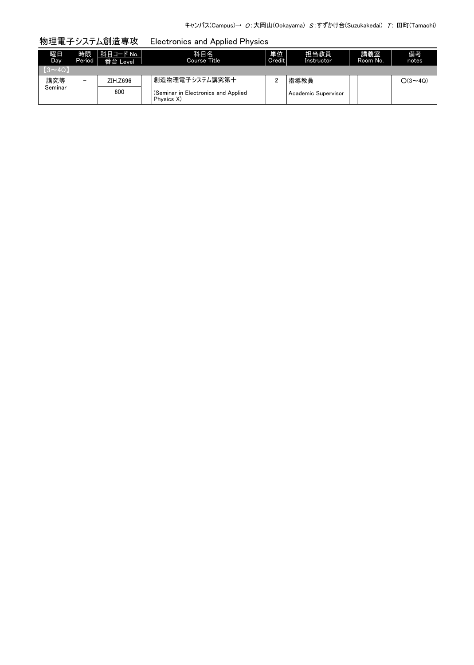# 物理電子システム創造専攻 Electronics and Applied Physics

| 嘴目<br>Day   | 時限<br>Period | 科目コード No.  <br>番台 Level | 科目名<br>Course Title                               | 単位<br>Credit | 担当教員<br>Instructor  | 講義室<br>Room No. | 備考<br>notes              |
|-------------|--------------|-------------------------|---------------------------------------------------|--------------|---------------------|-----------------|--------------------------|
| $(3\sim4Q)$ |              |                         |                                                   |              |                     |                 |                          |
| 講究等         | -            | ZIH.Z696                | 創造物理電子システム講究第十                                    |              | 指導教員                |                 | $\bigcirc$ (3 $\sim$ 40) |
| Seminar     |              | 600                     | (Seminar in Electronics and Applied<br>Physics X) |              | Academic Supervisor |                 |                          |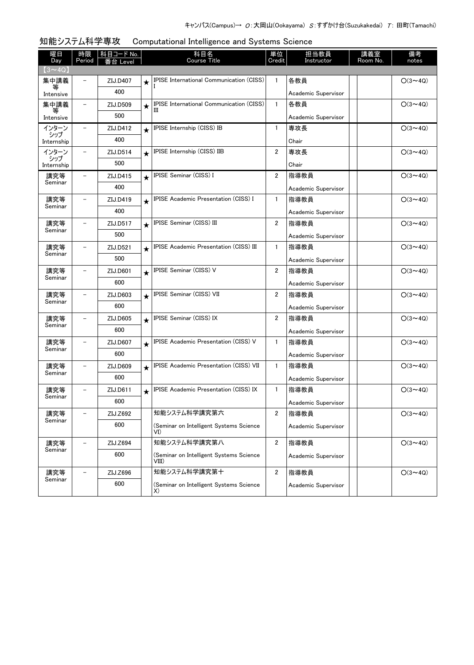| 曜日<br>Day         | 時限<br>Period             | <u>科目コード No.</u><br>备 Level |         | 科目名<br><b>Course Title</b>                       | 単位<br>Credit            | 担当教員<br>Instructor  | 講義室<br>Room No. | 備考<br>notes    |
|-------------------|--------------------------|-----------------------------|---------|--------------------------------------------------|-------------------------|---------------------|-----------------|----------------|
| $(3 \sim 4Q)$     |                          |                             |         |                                                  |                         |                     |                 |                |
| 集中講義              | $\overline{\phantom{0}}$ | ZIJ.D407                    | $\star$ | IPISE International Communication (CISS)         | $\mathbf{1}$            | 各教員                 |                 | $O(3 \sim 4Q)$ |
| 等<br>Intensive    |                          | 400                         |         |                                                  |                         | Academic Supervisor |                 |                |
| 集中講義              | $\overline{\phantom{0}}$ | ZIJ.D509                    | $\star$ | IPISE International Communication (CISS)<br>Ш    | $\mathbf{1}$            | 各教員                 |                 | $O(3 \sim 4Q)$ |
| 等<br>Intensive    |                          | 500                         |         |                                                  |                         | Academic Supervisor |                 |                |
| インターン             | $\overline{\phantom{0}}$ | ZIJ.D412                    | $\star$ | IPISE Internship (CISS) IB                       | $\mathbf{1}$            | 専攻長                 |                 | $O(3 \sim 4Q)$ |
| シップ<br>Internship |                          | 400                         |         |                                                  |                         | Chair               |                 |                |
| インターン             |                          | ZIJ.D514                    | $\star$ | IPISE Internship (CISS) IIB                      | 2                       | 専攻長                 |                 | $O(3 \sim 4Q)$ |
| シップ<br>Internship |                          | 500                         |         |                                                  |                         | Chair               |                 |                |
| 講究等               |                          | ZIJ.D415                    | $\star$ | <b>IPISE Seminar (CISS) I</b>                    | $\overline{2}$          | 指導教員                |                 | $O(3 \sim 4Q)$ |
| Seminar           |                          | 400                         |         |                                                  |                         | Academic Supervisor |                 |                |
| 講究等               |                          | ZIJ.D419                    | $\star$ | IPISE Academic Presentation (CISS) I             | 1                       | 指導教員                |                 | $O(3 \sim 4Q)$ |
| Seminar           |                          | 400                         |         |                                                  |                         | Academic Supervisor |                 |                |
| 講究等<br>Seminar    |                          | ZIJ.D517                    | $\star$ | IPISE Seminar (CISS) III                         | $\overline{2}$          | 指導教員                |                 | $O(3 \sim 4Q)$ |
|                   |                          | 500                         |         |                                                  |                         | Academic Supervisor |                 |                |
| 講究等<br>Seminar    |                          | ZIJ.D521                    | $\star$ | IPISE Academic Presentation (CISS) III           | 1                       | 指導教員                |                 | $O(3 \sim 4Q)$ |
|                   |                          | 500                         |         |                                                  |                         | Academic Supervisor |                 |                |
| 講究等               |                          | ZIJ.D601                    | $\star$ | IPISE Seminar (CISS) V                           | $\overline{2}$          | 指導教員                |                 | $O(3 \sim 4Q)$ |
| Seminar           |                          | 600                         |         |                                                  |                         | Academic Supervisor |                 |                |
| 講究等<br>Seminar    |                          | ZIJ.D603                    | $\star$ | IPISE Seminar (CISS) VII                         | 2                       | 指導教員                |                 | $O(3 \sim 4Q)$ |
|                   |                          | 600                         |         |                                                  |                         | Academic Supervisor |                 |                |
| 講究等<br>Seminar    |                          | ZIJ.D605                    | $\star$ | IPISE Seminar (CISS) IX                          | 2                       | 指導教員                |                 | $O(3 \sim 4Q)$ |
|                   |                          | 600                         |         |                                                  |                         | Academic Supervisor |                 |                |
| 講究等<br>Seminar    |                          | ZIJ.D607                    | $\star$ | IPISE Academic Presentation (CISS) V             | $\mathbf{1}$            | 指導教員                |                 | $O(3 \sim 4Q)$ |
|                   |                          | 600                         |         |                                                  |                         | Academic Supervisor |                 |                |
| 講究等<br>Seminar    |                          | ZIJ.D609                    | $\star$ | IPISE Academic Presentation (CISS) VII           | $\mathbf{1}$            | 指導教員                |                 | $O(3 \sim 4Q)$ |
|                   |                          | 600                         |         |                                                  |                         | Academic Supervisor |                 |                |
| 講究等<br>Seminar    |                          | ZIJ.D611                    | $\star$ | IPISE Academic Presentation (CISS) IX            | $\mathbf{1}$            | 指導教員                |                 | $O(3 \sim 4Q)$ |
|                   |                          | 600                         |         |                                                  |                         | Academic Supervisor |                 |                |
| 講究等<br>Seminar    |                          | ZIJ.Z692                    |         | 知能システム科学講究第六                                     | 2                       | 指導教員                |                 | $O(3 \sim 4Q)$ |
|                   |                          | 600                         |         | (Seminar on Intelligent Systems Science<br>VI)   |                         | Academic Supervisor |                 |                |
| 講究等               |                          | ZIJ.Z694                    |         | 知能システム科学講究第八                                     | $\overline{2}$          | 指導教員                |                 | $O(3 \sim 4Q)$ |
| Seminar           |                          | 600                         |         | (Seminar on Intelligent Systems Science<br>VIII) |                         | Academic Supervisor |                 |                |
| 講究等               |                          | ZIJ.Z696                    |         | 知能システム科学講究第十                                     | $\overline{\mathbf{c}}$ | 指導教員                |                 | $O(3 \sim 4Q)$ |
| Seminar           |                          | 600                         |         | (Seminar on Intelligent Systems Science<br>X)    |                         | Academic Supervisor |                 |                |

# 知能システム科学専攻 Computational Intelligence and Systems Science